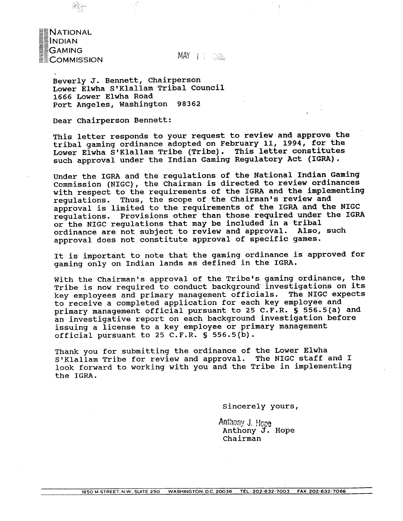MAY 1 1 1004

Beverly **J.** Bennett, Chairperson Lower Elwha S'Klallam Tribal Council **1666** Lower Elwha Road Port Angeles, Washington 98362

Dear Chairperson Bennett:

NATIONAL<br>
INDIAN<br>
GAMING<br>
COMMISSION

This letter responds to your request to review and approve the tribal gaming ordinance adopted on February **11,** 1994, for the Lower Elwha S'Klallam Tribe (Tribe). This letter constitutes such approval under the Indian Gaming Regulatory Act (IGRA).

Under the **IGRA** and the regulations of the National Indian Gaming Commission (NIGC), the Chairman is directed to review ordinances with respect to the requirements of the **IGRA** and the implementing regulations. Thus, the scope of the chairman's review and approval is limited to the requirements of the IGRA and the NIGC regulations. Provisions other than those required under the IGRA or the **NIGC** regulations that may be included in a tribal ordinance are not subject to review and approval. Also, such approval does not constitute approval of specific games.

It is important to note that the gaming ordinance is approved for gaming only on Indian lands as defined in the IGRA.

With the Chairman's approval of the Tribe's gaming ordinance, the Tribe is now required to conduct background'investigations on its key employees and primary management officials. The **NIGC** expects to receive a completed application for each key employee and primary management official pursuant to 25 **C.F.R. S** 556.5(a) and an investigative report on each background investigation before issuing a license to a key employee or primary management official pursuant to 25 C.F.R. **5** 556.5(b).

Thank you for submitting the ordinance of the Lower Elwha SIKlallam Tribe for review and approval. The **NIGC** staff and I look forward to working with you and the Tribe in implementing the IGRA.

Sincerely yours,

Anthony J. Hope Anthony **f.** Hope chairman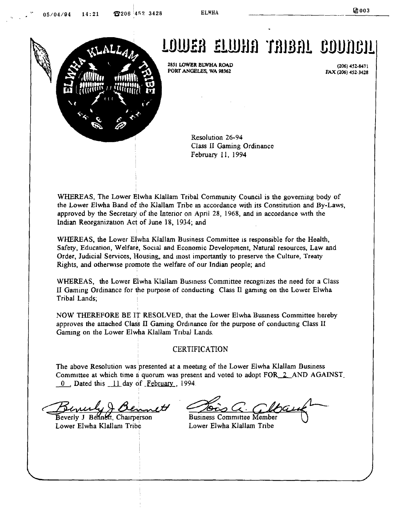

**2851 LOWER BLWHA ROAD PORT ANGELES, WA 98362** 

**(206) 452-841 1**  *FAX* **(206) 452-3428** 

Resolution 26-94 Class **I1** Gaming Ordinance February 11, 1994

WHEREAS, The Lower Elwha Klallam Tribal Community Council is the governing body of the Lower Elwha Band of the Klallam Tribe in accordance with its Constitution and By-Laws, approved by the Secretary of the Interior on April 28, 1968, and in accordance with the Indian Reorganization Act of June 18, 1934; and

WHEREAS, the Lower Elwha Klallam Business Committee is responsible for the Health, Safety. Education, Welfare, **Soclal md** Economic Development, Natural resources, Law and Order, Judicial Services, Housing, and most importantly to preserve the Culture, Treaty Rights, and otherwise promote the welfare of our Indian people; and

WHEREAS, the Lower Elwha Klallam Business Committee recognizes the need for a Class **I1** Gaming Ordinance for the purpose of conducting Class **LI gamlng** on **the** Lower Elwha Tribal Lands;

NOW THEREFORE BE IT RESOLVED, that the Lower Elwha Business Committee hereby approves the attached Class **II** Gaming Ordnance for the purpose of conduchng Class **I1**  Gaming on the Lower Elwha Klallam Tribal Lands.

### **CERTIFICATION**

The above Resolution was presented at a meeting of the Lower Elwha Klallam Business Committee at which time a quorum was present and voted to adopt FOR<sub>2</sub> AND AGAINST<sub>-</sub> The above Resolution was presented at a meeti-<br>Committee at which time a quorum was presen<br><u>0</u> Dated this <u>11</u> day of <u>February</u>, 1994.

Beverly J Bennett, Chairperson Lower Elwha Klallam Tribe Lower Elwha Klallam Tribe

!

**Business Committee Member**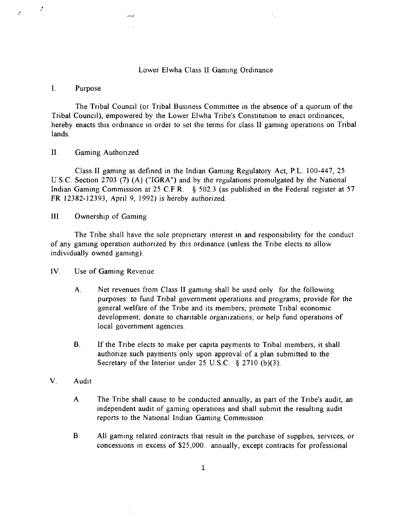#### Lower Elwha Class 11 Gaming Ordinance

#### I. Purpose

 $\ddot{\cdot}$ 

The Tribal Council (or Tribal Business Committee in the absence of a quorum of the Tribal Council), empowered by the Lower Elwha Tribe's Constitution to enact ordinances, hereby enacts this ordinance in order to set the terms for class II gaming operations on Tribal lands.

## 11. Gaming Authorized

Class I1 gaming as defined in the Indian Gaming Regulatory Act, P.L. 100-447, 25 U.S.C. Section 2703 **(7)** (A) ("IGRA") and by the regulations promulgated by the National Indian Gaming Commission at 25 C.F.R.  $\ S$  502.3 (as published in the Federal register at 57 FR 12382- 12393, April 9, 1992) is hereby authorized.

111. Ownership of Gaming

The Tribe shall have the sole proprietary interest in and responsibility for the conduct of any gaming operation authorized by this ordinance (unless the Tribe elects to allow individually owned gaming).

IV. Use of Gaming Revenue

- **A.** Net revenues from Class I1 gaming shall be used only for the following purposes: to fund Tribal government operations and programs; provide for the general welfare of the Tribe and its members; promote Tribal economic development; donate to charitable organizations; or help fund operations of local government agencies.
- B. If the Tribe elects to make per capita payments to Tribal members, it shall authorize such payments only upon approval of a plan submitted to the Secretary of the Interior under 25 U.S.C. *5* 2710 (b)(3).
- V. Audit
	- **A.** The Tribe shall cause to be conducted annually, as part of the Tribe's audit, an independent audit of gaming operations and shall submit the resulting audit reports to the National Indian Gaming Commission.
	- B. All gaming related contracts that result in the purchase of supplies, services, or concessions in excess of  $$25,000$ . annually, except contracts for professional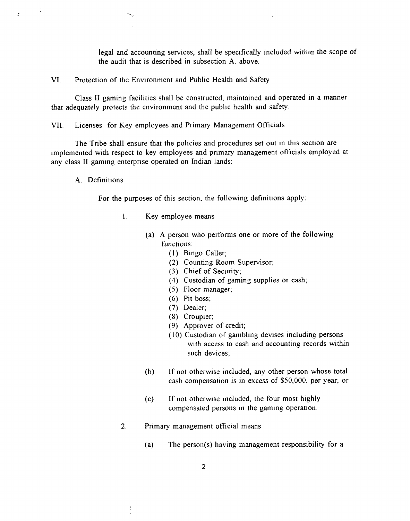legal and accounting services, shall be specifically included within the scope of the audit that is described in subsection **A.** above.

VI. Protection of the Environment and Public Health and Safety

Class I1 gaming facilities shall be constructed, maintained and operated in a manner that adequately protects the environment and the public health and safety.

VII. Licenses for Key employees and Primary Management Officials

The Tribe shall ensure that the policies and procedures set out in this section are implemented with respect to key employees and primary management officials employed at any class I1 gaming enterprise operated on Indian lands:

**A.** Definitions

 $\ddot{\cdot}$ 

For the purposes of this section, the following definitions apply:

- 1. Key employee means
	- (a) A person who performs one or more of the following functions:
		- **(1)** Bingo Caller;
		- (2) Counting Room Supervisor;
		- **(3)** Chief of Security;
		- (4) Custodian of gaming supplies or cash;
		- (5) Floor manager;
		- (6) Pit boss;
		- (7) Dealer;
		- (8) Croupier;
		- (9) Approver of credit;
		- (10) Custodian of gambling devises including persons with access to cash and accounting records within such devices;
	- (b) If not otherwise included, any other person whose total cash compensation is in excess of \$50,000. per year; or
	- $(c)$  If not otherwise included, the four most highly compensated persons in the gaming operation.
- 2. Primary management official means
	- (a) The person(s) having management responsibility for a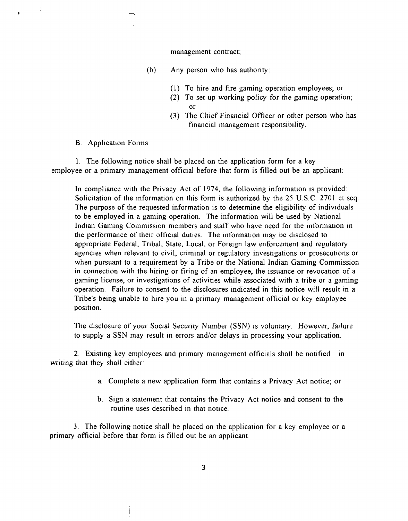#### management contract;

- (b) Any person who has authority:
	- (I) To hire and fire gaming operation employees; or
	- (2) To set up working policy for the gaming operation;  $or$
	- **(3)** The Chief Financial Officer or other person who has financial management responsibility.

B. Application Forms

 $\ddot{\cdot}$ 

1. The following notice shall be placed on the application form for a key employee or a primary management official before that form is filled out be an applicant:

In compliance with the Privacy Act of 1974, the following information is provided: Solicitation of the information on this form is authorized by the 25 U.S.C. 2701 et seq. The purpose of the requested information is to determine the eligibility of individuals to be employed in a gaming operation. The information will be used by National Indian Gaming Commission members and staff who have need for the information in the performance of their official duties. The information may be disclosed to appropriate Federal, Tribal, State, Local, or Foreign law enforcement and regulatory agencies when relevant to civil, criminal or regulatory investigations or prosecutions or when pursuant to a requirement by a Tribe or the National Indian Gaming Commission in connection with the hiring or firing of an employee, the issuance or revocation of a gaming license, or investigations of activities while associated with a tribe or a gaming operation. Failure to consent to the disclosures indicated in this notice will result in a Tribe's being unable to hire you in a primary management official or key employee position.

The disclosure of your Social Security Number (SSN) is voluntary. However, failure to supply a SSN may result In errors and/or delays in processing your application.

2. Existing key employees and primary management officials shall be notified in writing that they shall either:

- a. Complete a new application form that contains a Privacy Act notice; or
- b. Sign a statement that contains the Privacy Act notice and consent to the routine uses described in that notice.

**3.** The following notice shall be placed on the application for a key employee or a primary official before that form is filled out be an applicant.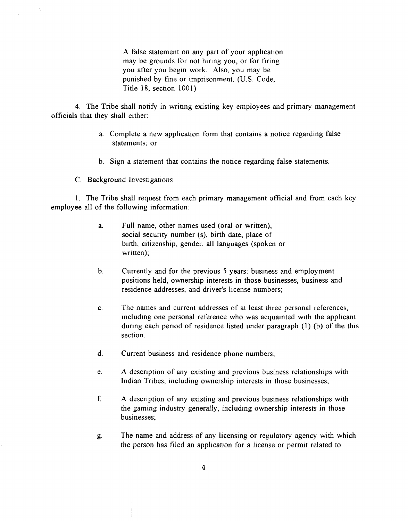**A** false statement on any part of your application may be grounds for not hiring you, or for firing you after you begin work. Also, you may be punished by fine or imprisonment. (U.S. Code, Title 18, section 1001)

4. The Tribe shall notify in writing existing key employees and primary management officials that they shall either:

- a. Complete a new application form that contains a notice regarding false statements; or
- b. Sign a statement that contains the notice regarding false statements.
- C. Background Investigations

 $\frac{1}{2}$ 

 $\ddot{\cdot}$ 

1. The Tribe shall request from each primary management official and from each key employee all of the following information:

- a. Full name, other names used (oral or written), social security number (s), birth date, place of birth, citizenship, gender, all languages (spoken or written);
- b. Currently and for the previous 5 years: business and employment positions held, ownership interests in those businesses, business and residence addresses, and driver's license numbers;
- c. The names and current addresses of at least three personal references, including one personal reference who was acquainted with the applicant during each period of residence listed under paragraph (1) (b) of the this section.
- d. Current business and residence phone numbers;
- e. **A** description of any existing and previous business relationships with Indian Tribes, including ownership interests in those businesses;
- f. A description of any existing and previous business relationships with the gaming industry generally, including ownership interests in those businesses;
- **g.** The name and address of any licensing or regulatory agency with which the person has filed an application for a license or permit related to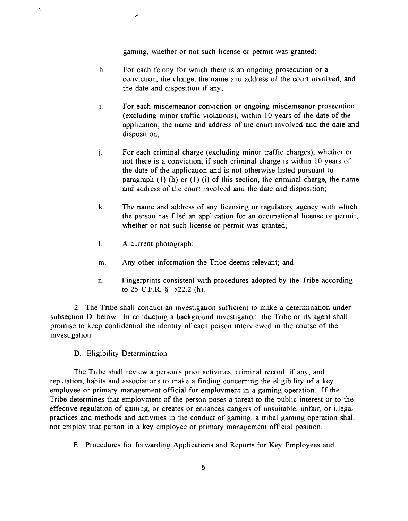gaming, whether or not such license or permit was granted;

- h. For each felony for which there is an ongoing prosecution or a conviction, the charge, the name and address of the court involved, and the date and disposition if any;
- **I.** For each misdemeanor conviction or ongoing misdemeanor prosecution (excluding minor traffic violations), within 10 years of the date of the application, the name and address of the court involved and the date and disposition;
- j. For each criminal charge (excluding minor traffic charges), whether or not there is a conviction, if such criminal charge is within 10 years of the date of the application and is not otherwise listed pursuant to paragraph  $(1)$  (h) or  $(1)$  (i) of this section, the criminal charge, the name and address of the court involved and the date and disposition;
- k. The name and address of any licensing or regulatory agency with which the person has filed an application for an occupational license or permit, whether or not such license or permit was granted;
- I. **A** current photograph;
- m. Any other information the Tribe deems relevant; and
- n. Fingerprints consistent with procedures adopted by the Tribe according to **25** C.F.R. **9 522.2** (h).

**2.** The Tribe shall conduct an investigation sufficient to make a determination under subsection D. below. In conducting a background investigation, the Tribe or its agent shall promise to keep confidential the identity of each person interviewed in the course of the investigation.

D. Eligibility Determination

Ň,

The Tribe shall review a person's prior activities, criminal record, if any, and reputation, habits and associations to make a finding concerning the eligibility of a key employee or primary management official for employment in a gaming operation. If the Tribe determines that employment of the person poses a threat to the public interest or to the effective regulation of gaming, or creates or enhances dangers of unsuitable, unfair, or illegal practices and methods and activities in the conduct of gaming, a tribal gaming operation shall not employ that person in a key employee or primary management official position.

E. Procedures for forwarding Applications and Reports for Key Employees and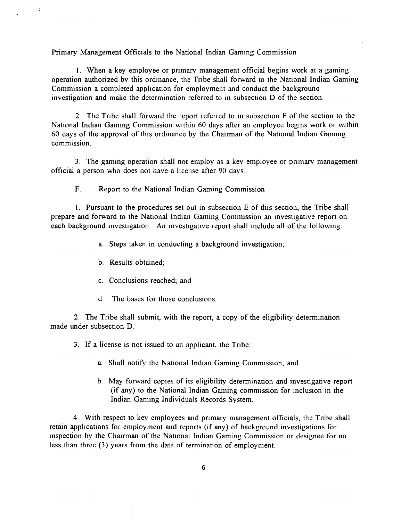Primary Management Officials to the National Indian Gaming Commission

1. When a key employee or primary management official begins work at a gaming operation authorized by this ordinance, the Tribe shall forward to the National Indian Gaming Commission a completed application for employment and conduct the background investigation and make the determination referred to in subsection D of the section.

2. The Tribe shall forward the report referred to in subsection F of the section to the National Indian Gaming Commission within 60 days after an employee begins work or within 60 days of the approval of this ordinance by the Chairman of the National Indian Gaming commission.

**3.** The gaming operation shall not employ as a key employee or primary management official a person who does not have a license after 90 days.

**F.** Report to the National Indian Gaming Commission

1. Pursuant to the procedures set out in subsection E of this section, the Tribe shall prepare and forward to the National Indian Gaming Commission an investigative report on each background investigation. An investigative report shall include all of the following:

- a. Steps taken in conducting a background investigation;
- b. Results obtained;

 $\cdot$ 

- c. Conclusions reached; and
- d. The bases for those conclusions

2. The Tribe shall submit, with the report, a copy of the eligibility determination made under subsection D.

**3.** If a license is not issued to an applicant, the Tribe:

- a. Shall notify the National Indian Gaming Commission; and
- b. May forward copies of its eligibility determination and investigative report (if any) to the National Indian Gaming commission for inclusion in the Indian Gaming Individuals Records System.

4. With respect to key employees and primary management officials, the Tribe shall retain applications for employment and reports (if any) of background investigations for inspection by the Chairman of the National Indian Gaming Commission or designee for no less than three **(3)** years from the date of termination of employment.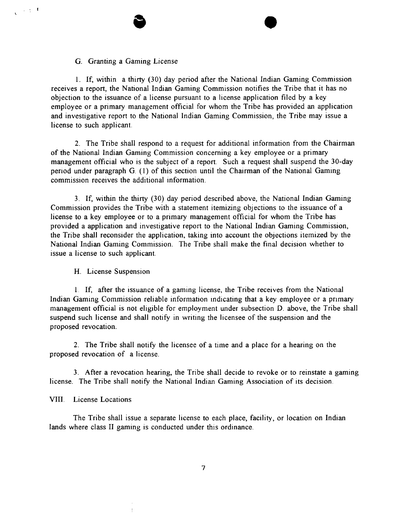#### G. Granting a Gaming License

 $\sim 10^{-4}$ 

1. If, within a thirty (30) day period after the National Indian Gaming Commission receives a report, the National Indian Gaming Commission notifies the Tribe that it has no objection to the issuance of a license pursuant to a license application filed by a key employee or a primary management official for whom the Tribe has provided an application and investigative report to the National Indian Gaming Commission, the Tribe may issue a license to such applicant.

2. The Tribe shall respond to a request for additional information from the Chairman of the National Indian Gaming Commission concerning a key employee or a primary management official who is the subject of a report. Such a request shall suspend the 30-day period under paragraph G.  $(1)$  of this section until the Chairman of the National Gaming commission receives the additional information.

**3.** If, within the thirty (30) day period described above, the National Indian Gaming Commission provides the Tribe with a statement itemizing objections to the issuance of a license to a key employee or to a primary management official for whom the Tribe has provided a application and investigative report to the National Indian Gaming Commission, the Tribe shall reconsider the application, taking into account the objections itemized by the National Indian Gaming Commission. The Tribe shall make the final decision whether to issue a license to such applicant.

#### H. License Suspension

I. If, after the issuance of a gaming license, the Tribe receives from the National Indian Gaming Commission reliable information indicating that a key employee or a primary management official is not eligible for employment under subsection D. above, the Tribe shall suspend such license and shall notify in writing the licensee of the suspension and the proposed revocation.

**2.** The Tribe shall notify the licensee of a time and a place for a hearing on the proposed revocation of a license.

**3.** After a revocation hearing, the Tribe shall decide to revoke or to reinstate a gaming license. The Tribe shall notify the National Indian Gaming Association of its decision.

## VIII. License Locations

The Tribe shall issue a separate license to each place, facility, or location on Indian lands where class II gaming is conducted under this ordinance.